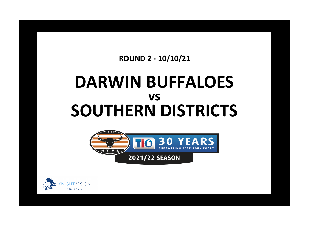## **ROUND 2 - 10/10/21**

## **DARWIN BUFFALOES SOUTHERN DISTRICTS vs**



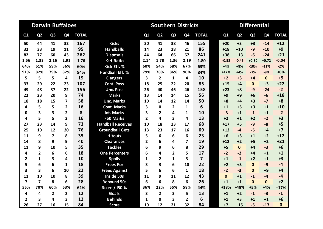|                         |                         | <b>Darwin Buffaloes</b> |                         |              |                          |                         | <b>Southern Districts</b> |                |                |                         | <b>Differential</b> |                |                |                |              |  |  |
|-------------------------|-------------------------|-------------------------|-------------------------|--------------|--------------------------|-------------------------|---------------------------|----------------|----------------|-------------------------|---------------------|----------------|----------------|----------------|--------------|--|--|
| Q1                      | Q <sub>2</sub>          | Q <sub>3</sub>          | Q <sub>4</sub>          | <b>TOTAL</b> |                          | Q1                      | Q <sub>2</sub>            | Q <sub>3</sub> | Q <sub>4</sub> | <b>TOTAL</b>            | Q1                  | Q <sub>2</sub> | Q <sub>3</sub> | Q <sub>4</sub> | <b>TOTAL</b> |  |  |
| 50                      | 44                      | 41                      | 32                      | 167          | <b>Kicks</b>             | 30                      | 41                        | 38             | 46             | 155                     | $+20$               | $+3$           | $+3$           | $-14$          | $+12$        |  |  |
| 32                      | 33                      | 19                      | 11                      | 95           | <b>Handballs</b>         | 14                      | 23                        | 28             | 21             | 86                      | $+18$               | $+10$          | $-9$           | $-10$          | $+9$         |  |  |
| 82                      | 77                      | 60                      | 43                      | 262          | <b>Disposals</b>         | 44                      | 64                        | 66             | 67             | 241                     | $+38$               | $+13$          | $-6$           | $-24$          | $+21$        |  |  |
| 1.56                    | 1.33                    | 2.16                    | 2.91                    | 1.76         | <b>K:H Ratio</b>         | 2.14                    | 1.78                      | 1.36           | 2.19           | 1.80                    | $-0.58$             | $-0.45$        | $+0.80$        | $+0.72$        | $-0.04$      |  |  |
| 64%                     | 61%                     | 59%                     | 56%                     | 60%          | Kick Eff. %              | 60%                     | 54%                       | 68%            | 67%            | 63%                     | $+4%$               | $+8%$          | $-10%$         | $-11%$         | $-2%$        |  |  |
| 91%                     | 82%                     | 79%                     | 82%                     | 84%          | <b>Handball Eff. %</b>   | 79%                     | 78%                       | 86%            | 90%            | 84%                     | $+12%$              | $+4%$          | $-7%$          | $-9%$          | $+0%$        |  |  |
| 5                       | 5                       | 5                       | 4                       | 19           | <b>Clangers</b>          | $\overline{\mathbf{3}}$ | $\overline{2}$            | 1              | 4              | 10                      | $+2$                | $+3$           | $+4$           | $\mathbf{0}$   | $+9$         |  |  |
| 33                      | 29                      | 22                      | 23                      | 107          | <b>Cont. Poss</b>        | 18                      | 25                        | 22             | 20             | 85                      | $+15$               | $+4$           | $\mathbf{0}$   | $+3$           | $+22$        |  |  |
| 49                      | 48                      | 37                      | 22                      | 156          | <b>Unc. Poss</b>         | 26                      | 40                        | 46             | 46             | 158                     | $+23$               | $+8$           | $-9$           | $-24$          | $-2$         |  |  |
| 22                      | 23                      | 20                      | 9                       | 74           | <b>Marks</b>             | 13                      | 14                        | 14             | 15             | 56                      | $+9$                | $+9$           | $+6$           | $-6$           | $+18$        |  |  |
| 18                      | 18                      | 15                      | $\overline{\mathbf{z}}$ | 58           | <b>Unc. Marks</b>        | 10                      | 14                        | 12             | 14             | 50                      | $+8$                | $+4$           | $+3$           | $-7$           | $+8$         |  |  |
| 4                       | 5                       | 5                       | $\overline{2}$          | 16           | <b>Cont. Marks</b>       | 3                       | $\Omega$                  | $\mathbf{2}$   | 1              | 6                       | $+1$                | $+5$           | $+3$           | $+1$           | $+10$        |  |  |
| 0                       | 3                       | 3                       | $\overline{2}$          | 8            | <b>Int. Marks</b>        | 3                       | $\overline{2}$            | 4              | 1              | 10                      | $-3$                | $+1$           | $-1$           | $+1$           | $-2$         |  |  |
| 4                       | 5                       | 5                       | $\overline{2}$          | 16           | <b>F50 Marks</b>         | 2                       | 4                         | 3              | 4              | 13                      | $+2$                | $+1$           | $+2$           | $-2$           | $+3$         |  |  |
| 27                      | 23                      | 14                      | 9                       | 73           | <b>Handball Receives</b> | 10                      | 18                        | 23             | 17             | 68                      | $+17$               | $+5$           | $-9$           | $-8$           | $+5$         |  |  |
| 25                      | 19                      | 12                      | 20                      | 76           | <b>Groundball Gets</b>   | 13                      | 23                        | 17             | 16             | 69                      | $+12$               | $-4$           | $-5$           | $+4$           | $+7$         |  |  |
| 11                      | 9                       | $\overline{ }$          | 8                       | 35           | <b>Hitouts</b>           | 5                       | 6                         | 6              | 6              | 23                      | $+6$                | $+3$           | $+1$           | $+2$           | $+12$        |  |  |
| 14                      | 8                       | 9                       | 9                       | 40           | <b>Clearances</b>        | $\overline{2}$          | 6                         | 4              | 7              | 19                      | $+12$               | $+2$           | $+5$           | $+2$           | $+21$        |  |  |
| 11                      | 9                       | 10                      | 5                       | 35           | <b>Tackles</b>           | 6                       | 9                         | 6              | 8              | 29                      | $+5$                | $\Omega$       | $+4$           | $-3$           | $+6$         |  |  |
| 4                       | $\overline{2}$          | 6                       | 6                       | 18           | <b>One Percenters</b>    | 6                       | 4                         | $\overline{2}$ | 5              | 17                      | $-2$                | $-2$           | +4             | $+1$           | $+1$         |  |  |
| 2                       | $\mathbf{1}$            | $\overline{\mathbf{3}}$ | 4                       | 10           | <b>Spoils</b>            | 1                       | $\overline{2}$            | $\mathbf{1}$   | 3              | $\overline{\mathbf{z}}$ | $+1$                | $-1$           | $+2$           | $+1$           | $+3$         |  |  |
| 5                       | 6                       | 6                       | 1                       | 18           | <b>Frees For</b>         | 3                       | 3                         | 6              | 10             | 22                      | $+2$                | $+3$           | $\mathbf{0}$   | $-9$           | $-4$         |  |  |
| 3                       | 3                       | 6                       | 10                      | 22           | <b>Frees Against</b>     | 5                       | 6                         | 6              | $\mathbf{1}$   | 18                      | $-2$                | $-3$           | $\bf{0}$       | $+9$           | $+4$         |  |  |
| 11                      | 10                      | 10                      | 8                       | 39           | <b>Inside 50s</b>        | 11                      | 9                         | 11             | 12             | 43                      | $\Omega$            | $+1$           | $-1$           | $-4$           | $-4$         |  |  |
| $\overline{\mathbf{z}}$ | $\overline{\mathbf{z}}$ | 8                       | 6                       | 28           | <b>Rebound 50s</b>       | 6                       | 6                         | 8              | 6              | 26                      | $+1$                | $+1$           | $\Omega$       | $\mathbf{0}$   | $+2$         |  |  |
| 55%                     | 70%                     | 60%                     | 63%                     | 62%          | Score / I50 %            | 36%                     | 22%                       | 55%            | 58%            | 44%                     | +18%                | +48%           | $+5%$          | $+4%$          | $+17%$       |  |  |
| 4                       | 4                       | $\overline{2}$          | $\overline{2}$          | 12           | <b>Goals</b>             | 3                       | $\overline{2}$            | 3              | 5              | 13                      | $+1$                | $+2$           | $-1$           | $-3$           | $-1$         |  |  |
| 2                       | 3                       | 4                       | 3                       | 12           | <b>Behinds</b>           | 1                       | $\Omega$                  | 3              | $\mathbf{2}$   | 6                       | $+1$                | $+3$           | $+1$           | $+1$           | $+6$         |  |  |
| 26                      | 27                      | 16                      | 15                      | 84           | <b>Score</b>             | 19                      | 12                        | 21             | 32             | 84                      | $+7$                | $+15$          | $-5$           | $-17$          | $\bf{0}$     |  |  |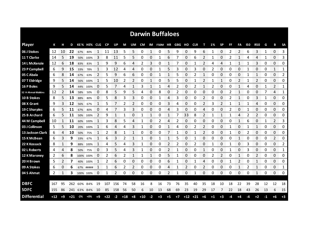|                     |       |      |       |             |             |      |           |      |       |                |       |      | <b>Darwin Buffaloes</b> |              |      |                |             |                |      |                |    |              |              |                |    |                        |                |
|---------------------|-------|------|-------|-------------|-------------|------|-----------|------|-------|----------------|-------|------|-------------------------|--------------|------|----------------|-------------|----------------|------|----------------|----|--------------|--------------|----------------|----|------------------------|----------------|
| <b>Player</b>       | К     |      | D     |             | KE% HE% CLG |      | <b>CP</b> | UP   | М     | UM             | CM    |      | IM F50M HR GBG          |              |      | но             | <b>CLR</b>  | т              | 1%   | <b>SP</b>      | FF | FA           | 150          | <b>R50</b>     | G  | в                      | <b>SA</b>      |
| 06 J Stokes         | 12    | 10   | 22    | 67%         | 80%         |      | 11        | 13   | 5     | 5              | 0     | 1    | 0                       | 5            | 9    | 0              | 9           | 6              | 1    | 0              | 2  | 2            | 6            | 3              | 1  | $\Omega$               | 3              |
| 11 T Clarke         | 14    | 5    | 19    |             | 50% 100%    | 3    | 8         | 11   | 5     | 5              | 0     | 0    | 1                       | 6            | 7    | 0              | 6           | 2              | 1    | 0              | 2  | $\mathbf{1}$ | 4            | 4              | 1  | 0                      | 3              |
| 14 L McKenzie       | 12    | 6    | 18    | 83%         | 83%         | 1    | 9         | 9    | 6     | 4              | 2     | 3    | 0                       | $\mathbf{1}$ | 7    | 0              | 1           | 2              | 4    | 4              | 1  | 1            | 1            | 3              | 0  | 0                      | 0              |
| 23 P Campbell       | 6     | 9    | 15    | 33%         | 78%         | 1    | 3         | 12   | 4     | 4              | 0     | 0    | 1                       | 5            | 3    | 0              | 3           | 0              | 2    | 0              | 0  | 0            | 1            | 0              | 0  | $\mathbf{1}$           | 1              |
| 05 C Abala          | 6     | 8    | 14    | 67%         | 63%         | 2    | 5         | 9    | 6     | 6              | 0     | 0    | 1                       | $\mathbf{1}$ | 5    | 0              | 2           | 1              | 0    | 0              | 0  | 0            | 1            | 1              | 0  | 0                      | 2              |
| 07 T Eldridge       | 9     | 5    | 14    | 56%         | 100%        | 1    | 5.        | 10   | 2     | $\overline{2}$ | 0     | 1    | 0                       | 5            | 5    | 0              | 1           | 2              | 1    | 1              | 0  | 2            | 1            | 2              | 0  | 0                      | 0              |
| <b>16 P Boles</b>   | 9     | 5    | 14    | 44%         | 100%        | 0    | 5         |      | 4     | 1              | 3     | 1    | 1                       | 4            | 2    | 0              | 2           | 1              | 2    | 0              | 0  | 1            | 4            | 0              | 1  | 2                      | 1              |
| 32 H Ahmat-Watkins  | 12    | 2    | 14    | 58%         | 50%         | 0    | 8         | 5    | 9     | 5              | 4     | 0    | 8                       | 0            | 2    | 0              | 0           | 0              | 0    | 0              | 2  | 1            | 0            | 0              | 7  | 4                      | 1              |
| 10 B Stokes         | 8     | 5    | 13    | 88%         | 80%         | 0    | 5         | 8    | 3     | 3              | 0     | 0    | 1                       | 4            | 3    | 0              | 0           | $\overline{2}$ | 0    | 0              | 2  | $\mathbf{1}$ | 0            | 3              | 1  | $\Omega$               | 0              |
| 08 X Grant          | 9     | 3    | 12    | 56%         | 67%         | 1    | 5         | 7    | 2     | 2              | 0     | 0    | 0                       | 3            | 4    | 0              | 0           | 2              | 3    | 2              | 1  | 1            | $\mathbf{1}$ | 4              | 0  | 0                      | 0              |
| 19 C Sharples       | 6     | 5    | 11    | 67%         | 80%         | 0    | 4         |      | 3     | 3              | 0     | 0    | 0                       | 4            | 3    | 0              | 0           | 4              | 0    | 0              | 2  | 0            |              | 0              | 0  | 0                      | 0              |
| 25 B Archard        | 6     | 5    | 11    | 50%         | 100%        | 2    | 9         |      | 1     | 0              |       | 1    | 0                       | 1            | 7    | 33             | 8           | 2              |      | 1              | 1  | 4            | 2            | 2              | 0  | 0                      | 0              |
| 44 M Campbell       | 10    |      | 11    |             | 60% 100%    |      | 3         | 8    | 5     | 4              |       | 0    | 2                       | 4            | 2    | 0              | 0           | 0              | 0    | 0              | 0  | $\mathbf{1}$ | 6            | 0              |    | 2                      | 3              |
| 03 J Collinson      | 5.    | 5    | 10    | 20%         | 100%        |      | 6         | 4    | 4     | 3              |       | 0    | 0                       | 1            | 4    | 0              | 2           | 2              | Ω    | 0              | 1  | 0            |              | 1              | 0  | 0                      | 0              |
| 13 Jackson Clark    | 6     | 4    | 10    | 50%         | 75%         |      | 2         | 8    | 1     |                | 0     | 0    | 0                       | 7            |      | 0              |             |                | 0    | 0              |    | 0            | 2            | 0              | 0  | 0<br><b>Management</b> | 0              |
| 15 K McBean         | 6     | 3    | 9     | 33%         | 67%         |      | 6         | 3    | 2     | 1              | 1     | 0    | 1                       |              | 5    | 0              |             | 0              | O    | 0              | O  | 1            | 0            | 0              | 0  | $\overline{2}$<br>mmm. | 0<br>ononono.  |
| 22 K Kossack        | 8     |      | 9     | 88%         | 100%        | 1    | 4         | 5    | 4     | 3              |       | 0    | 0                       | 2            | 2    | 0              | 2           | 0              |      | 0              |    | 0            | 3            | 0              | 0  | 0                      | $\overline{2}$ |
| 02 L Roberts        | 4     | 4    | 8     | 50%         | 75%         | 0    | 3         | 5    | 4     | 3              |       | 0    | 0                       | 2            |      | 0              | 0           | 1              | 0    | 0              |    | 0            | 3            | 0              | 0  | 0                      | 1              |
| 12 K Maroney        | 2     | 6    | 8     |             | 100% 100%   | 0    | 2         | 6    | 2     | 1              | 1     | 1    | 0                       | 5            |      | 0              | 0           | 0              |      | $\overline{2}$ | 0  | $\mathbf{1}$ | 0            | $\overline{2}$ | 0  | 0                      | 0              |
| 20 H Brown          | 5     | 2    | 7     | 40%         | 100%        |      | 2         | 6    | 0     | 0              | 0     | 0    | 0                       | 6            |      | 0              |             | 4              | 0    | 0              | 1  | 2            | 0            | 1              | 0  | 0                      | 0              |
| 09 A Stokes         | 6     | 0    | 6     |             | 67% #####   |      | 1         | 6    | 2     | 2              | 0     | 0    | 0                       | 4            | 1    | $\overline{2}$ | 0           | 2              | 0    | 0              | 0  | 1            | 2            | 1              | 0  | 0                      | 1              |
| 04 S Ahmat          | 2     | 1    | 3     |             | 100% 100%   | 0    | 1         | 2    | 0     | 0              | 0     | 0    | 0                       | 2            | 1    | 0              | 1           | 0              | 0    | 0              | 0  | 0            | 0            | 1              | 0  | 0                      | 0              |
|                     |       |      |       |             |             |      |           |      |       |                |       |      |                         |              |      |                |             |                |      |                |    |              |              |                |    |                        |                |
| <b>DBFC</b>         | 167   | 95   | 262   | 60%         | 84%         | 19   | 107       | 156  | 74    | 58             | 16    | 8    | 16                      | 73           | 76   | 35             | 40          | 35             | 18   | 10             | 18 | 22           | 39           | 28             | 12 | 12                     | 18             |
| <b>SDFC</b>         | 155   | 86   |       | 241 63% 84% |             | 10   | 85        | 158  | 56    | 50             | 6     | 10   | 13                      | 68           | 69   | 23             | 19          | 29             | 17   | 7              | 22 | 18           | 43           | 26             | 13 | 6                      | 15             |
| <b>Differential</b> | $+12$ | $+9$ | $+21$ | $-2\%$      | $+0\%$      | $+9$ | $+22$     | $-2$ | $+18$ | $+8$           | $+10$ | $-2$ | $+3$                    | $+5$         | $+7$ |                | $+12$ $+21$ | $+6$           | $+1$ | $+3$           | -4 | +4           | -4           | $+2$           | -1 | $+6$                   | $+3$           |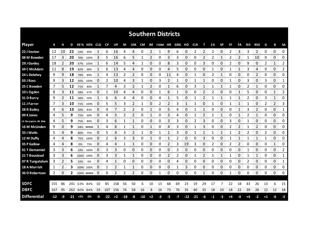|                     |     |    |    |             |             |              |           |                |       |    |       |             | <b>Southern Districts</b> |              |              |       |                |      |    |              |    |              |     |              |      |                |                         |
|---------------------|-----|----|----|-------------|-------------|--------------|-----------|----------------|-------|----|-------|-------------|---------------------------|--------------|--------------|-------|----------------|------|----|--------------|----|--------------|-----|--------------|------|----------------|-------------------------|
| <b>Player</b>       | К   |    | D  |             | KE% HE% CLG |              | <b>CP</b> | UP             | М     | UM | CM    |             | IM F50M HR                |              | GBG          | но    | <b>CLR</b>     | т    | 1% | <b>SP</b>    | FF | FA           | 150 | <b>R50</b>   | G    | B              | <b>SA</b>               |
| 22 J Sexton         | 12  | 10 | 22 | 33%         | 90%         | 1            | 6         | 16             | 4     | 4  | 0     | 2           | 1                         | 9            | 6            | 0     | 2              | 2    | 2  | 0            | 2  | 3            | 3   | 2            | 0    | $\Omega$       | 0                       |
| 08 M Bowden         | 17  | 3  | 20 |             | 76% 100%    | 3            | 5         | 16             | 6     | 5  | 1     | 2           | 0                         | 3            | 3            | 0     | 0              | 2    | 2  | 1            | 2  | 2            | 1   | 10           | 0    | 0              | 0                       |
| 29 J Ganley         | 18  | 2  | 20 |             | 67% 100%    | 1            | 6         | 14             | 5     | 4  | 1     | 0           | 0                         | 8            | 3            | 0     | 0              | 3    | 0  | 0            | 2  | 0            | 9   | 0            | 2    | $\mathbf{1}$   | $\mathbf{2}$            |
| 34 C McAdam         | 11  | 8  | 19 | 82%         | 88%         | 1            | 6         | 13             | 4     | 4  | 0     | 0           | 0                         | 4            | 5            | 0     | 0              | 0    | 1  | 0            | 1  | 1            | 3   | 4            | 0    | 0              | $\mathbf{2}$            |
| 24 L Delahey        | 9   | 9  | 18 | 78%         | 89%         | 1            | 4         | 13             | 2     | 2  | 0     | 0           | 0                         | 11           | 4            | 0     | 1              | 0    | 2  | 1            | 0  | 0            | 0   | 2            | 0    | 0              | 0                       |
| 03 J Ross           | 9   | 3  | 12 | 56%         | 100%        | 0            | 2         | 10             | 4     | 3  | 1     | 0           | 3                         | 2            | 1            | 0     | 1              | 1    | 0  | 0            | 1  | 0            | 3   | 0            | 3    | 0              | 1                       |
| 25 C Bowden         | 7   | 5  | 12 | 71%         | 80%         | 1            | 7         | 4              | 3     | 2  | 1     | 2           | 0                         | $\mathbf{1}$ | 6            | 0     | 3              | 1    |    | 1            | 1  | 0            | 2   | $\mathbf{1}$ | 0    | 0              | 0                       |
| 10 L Ogden          | 8   | 3  | 11 | 38%         | 67%         | 0            | 1         | 10             | 4     | 4  | 0     | 0           | 1                         | 6            | $\mathbf{1}$ | 0     | 0              | 2    | 2  | 0            | 0  | $\mathbf{1}$ | 5   | 0            | 0    | $\mathbf{1}$   | 2                       |
| 31 D Barry          | 9   | 2  | 11 | 56%         | 50%         | $\mathbf{1}$ | 6         | 6              | 4     | 4  | 0     | 0           | 4                         | $\mathbf{1}$ | 5            | 0     | 1              | 2    | 1  | $\mathbf{1}$ | 1  | 1            | 2   | 0            | 3    | $\mathbf{1}$   | 0                       |
| 11 J Farrer         | 7   | 3  | 10 | 71%         | 100%        | 0            | 5         | 5              | 3     | 2  | 1     | 0           | 2                         | 2            | 3            | 1     |                | 0    | 1  | 0            | 1  | 1            | -1  | 0            | 2    | $\overline{2}$ | 3                       |
| 28 R Bailey         | 4   | 6  | 10 | 50%         | 83%         | 0            | 4         |                | 2     | 2  | 0     |             | 0                         | 5            | 4            | 0     |                |      | 0  | 0            | 0  | 1            | 3   | 2            | 0    | 0              | 1                       |
| 09 K Jones          | 4   | 5  | 9  | 75%         | 60%         | 0            | 4         | 5              | 2     | 2  | 0     | 1           | 0                         | 3            | 4            | 0     |                | 2    |    | 1            | 0  | 1            | 2   | $\mathbf{1}$ | 0    | 0              | 0                       |
| 14 Benjamin Ah Mat  | 4   | 5  | 9  | 75%         | 80%         | 0            | 3         | 6              | 1     | 1  | 0     | 0           | 0                         | 3            | 3            | 0     | $\overline{2}$ | 3    | 0  | 0            | 3  | 0            | 1   | 0            | 0    | 0              | 0                       |
| 16 M McLinden       | 9   | 0  | 9  | 44%         | #####       | -1           | 4         | 6              | 1     | 1  | 0     | $\mathbf 1$ | 0                         | 4            | 3            | 0     |                | 3    | 0  | 0            | 2  | 2            | 1   | 2            | 0    | 0              | 0                       |
| 33 J Watts          | 5   | 4  | 9  | 80%         | 75%         | 0            | 5         | 4              | 3     | 2  |       | 0           |                           |              | 3            | 0     |                |      |    |              |    | 2            | 2   | 0            | 2    | 0              | 0                       |
| 12 M Duffy          | 4   | 4  | 8  | 75%         | 100%        | 0            | 2         | 6              | 3     | 3  | 0     | 1           | 0                         | 1            | 2            | 0     | 0              | 3    | 0  | 0            |    |              | 1   |              |      | 0<br>tennen s  | 0<br><b>TOTO CONTRA</b> |
| 35 P Gallow         | 4   | 4  | 8  | 0%          | 75%         | 0            | 4         | 4              |       | 1  | 0     | 0           | 0                         | 2            | 3            | 19    | 3              | 0    | 2  | 0            | 2  | 2            | 0   | 0            | 0    | 1              | 0                       |
| 01 T Demamiel       | 3   | 3  | 6  |             | 33% 100%    | 0            | 3         | З              | 0     | 0  | 0     | 0           | 0                         | 0            | 3            | 0     | 0              | 0    | 0  | 0            | O  | 0            | 1   | 0            | 0    | 0              | 2                       |
| 21 T Boustead       | 3   | 3  | 6  |             | 100% 100%   | 0            | 3         | 3              | 1     | 1  | 0     | 0           | 0                         | 2            | 2            | 0     |                | 2    |    | 1            |    | 0            |     | 1            | 0    | 0              | $\mathbf{1}$            |
| 07 R Tungatalum     | 3   | 2  | 5  | 33%         | 0%          | 0            | 4         |                | 0     | 0  | 0     | 0           | 0                         | 0            | 4            | 0     | 0              | 0    | 0  | 0            | 0  | 0            | 2   | 0            | 0    | 0              | 1                       |
| 18 A Morrish        | 1   | 2  | 3  |             | 100% 100%   | 0            | 1         | $\overline{2}$ | 1     | 1  | 0     | 0           | 0                         | 0            |              | 3     | 0              | 0    | 0  | 0            | 0  | 0            | 0   | 0            | 0    | 0              | 0                       |
| 36 D Robertson      | 2   | 0  | 2  |             | 100% #####  | 0            | 0         | 2              | 2     | 2  | 0     | 0           | 1                         | 0            | 0            | 0     | 0              | 1    | 0  | 0            | 1  | 0            | 0   | 0            | 0    | 0              | 0                       |
| <b>SDFC</b>         | 155 | 86 |    | 241 63%     | 84%         | 10           | 85        | 158            | 56    | 50 | 6     | 10          | 13                        | 68           | 69           | 23    | 19             | 29   | 17 | 7            | 22 | 18           | 43  | 26           | 13   | 6              | 15                      |
| <b>DBFC</b>         | 167 | 95 |    |             | 262 60% 84% | 19           | 107       | 156            | 74    | 58 | 16    | 8           | 16                        | 73           | 76           | 35    | 40             | 35   | 18 | 10           | 18 | 22           | 39  | 28           | 12   | 12             | 18                      |
| <b>Differential</b> | -12 | -9 |    | $-21$ $+2%$ | $-0%$       | -9           | $-22$     | $+2$           | $-18$ | -8 | $-10$ | $+2$        | $-3$                      | -5           | $-7$         | $-12$ | $-21$          | $-6$ | -1 | $-3$         | +4 | -4           | +4  | $-2$         | $+1$ | -6             | -3                      |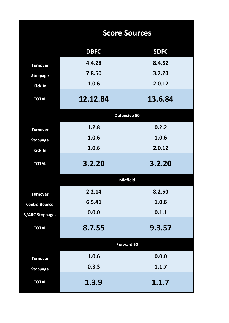|                        | <b>Score Sources</b> |             |
|------------------------|----------------------|-------------|
|                        | <b>DBFC</b>          | <b>SDFC</b> |
| <b>Turnover</b>        | 4.4.28               | 8.4.52      |
| <b>Stoppage</b>        | 7.8.50               | 3.2.20      |
| <b>Kick In</b>         | 1.0.6                | 2.0.12      |
| <b>TOTAL</b>           | 12.12.84             | 13.6.84     |
|                        | Defensive 50         |             |
| <b>Turnover</b>        | 1.2.8                | 0.2.2       |
| <b>Stoppage</b>        | 1.0.6                | 1.0.6       |
| Kick In                | 1.0.6                | 2.0.12      |
| <b>TOTAL</b>           | 3.2.20               | 3.2.20      |
|                        | <b>Midfield</b>      |             |
| <b>Turnover</b>        | 2.2.14               | 8.2.50      |
| <b>Centre Bounce</b>   | 6.5.41               | 1.0.6       |
| <b>B/ARC Stoppages</b> | 0.0.0                | 0.1.1       |
| <b>TOTAL</b>           | 8.7.55               | 9.3.57      |
|                        | <b>Forward 50</b>    |             |
| <b>Turnover</b>        | 1.0.6                | 0.0.0       |
| <b>Stoppage</b>        | 0.3.3                | 1.1.7       |
| <b>TOTAL</b>           | 1.3.9                | 1.1.7       |